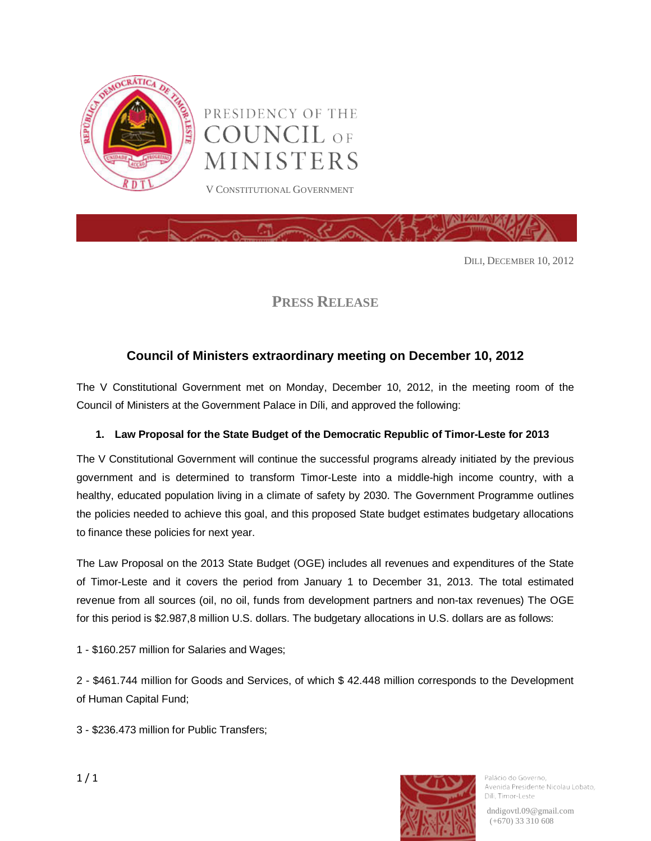

PRESIDENCY OF THE **COUNCIL OF** MINISTERS V CONSTITUTIONAL GOVERNMENT



DILI, DECEMBER 10, 2012

**PRESS RELEASE**

## **Council of Ministers extraordinary meeting on December 10, 2012**

The V Constitutional Government met on Monday, December 10, 2012, in the meeting room of the Council of Ministers at the Government Palace in Díli, and approved the following:

## **1. Law Proposal for the State Budget of the Democratic Republic of Timor-Leste for 2013**

The V Constitutional Government will continue the successful programs already initiated by the previous government and is determined to transform Timor-Leste into a middle-high income country, with a healthy, educated population living in a climate of safety by 2030. The Government Programme outlines the policies needed to achieve this goal, and this proposed State budget estimates budgetary allocations to finance these policies for next year.

The Law Proposal on the 2013 State Budget (OGE) includes all revenues and expenditures of the State of Timor-Leste and it covers the period from January 1 to December 31, 2013. The total estimated revenue from all sources (oil, no oil, funds from development partners and non-tax revenues) The OGE for this period is \$2.987,8 million U.S. dollars. The budgetary allocations in U.S. dollars are as follows:

1 - \$160.257 million for Salaries and Wages;

2 - \$461.744 million for Goods and Services, of which \$ 42.448 million corresponds to the Development of Human Capital Fund;

3 - \$236.473 million for Public Transfers;



Palácio do Governo. Avenida Presidente Nicolau Lobato, Dili, Timor-Leste

dndigovtl.09@gmail.com (+670) 33 310 608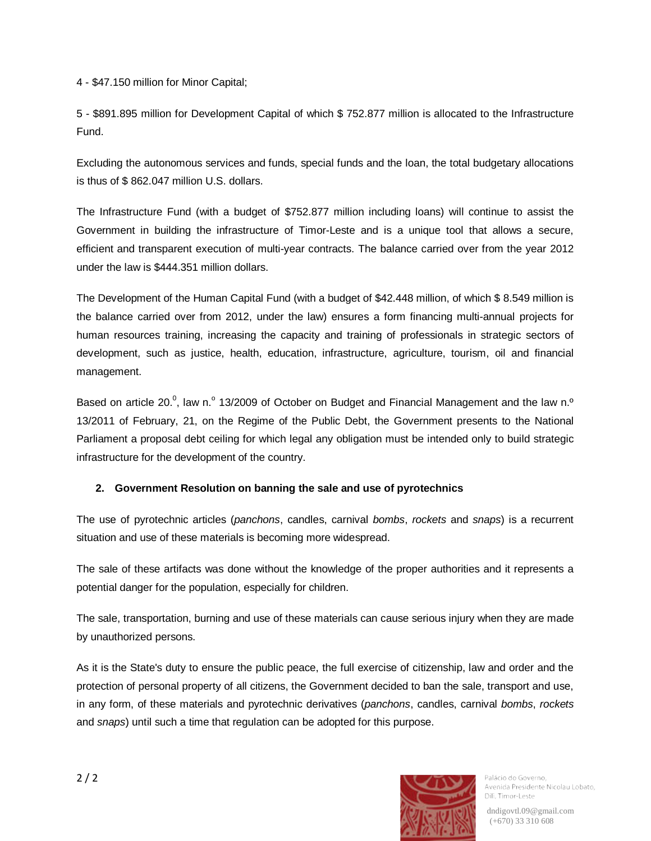4 - \$47.150 million for Minor Capital;

5 - \$891.895 million for Development Capital of which \$ 752.877 million is allocated to the Infrastructure Fund.

Excluding the autonomous services and funds, special funds and the loan, the total budgetary allocations is thus of \$ 862.047 million U.S. dollars.

The Infrastructure Fund (with a budget of \$752.877 million including loans) will continue to assist the Government in building the infrastructure of Timor-Leste and is a unique tool that allows a secure, efficient and transparent execution of multi-year contracts. The balance carried over from the year 2012 under the law is \$444.351 million dollars.

The Development of the Human Capital Fund (with a budget of \$42.448 million, of which \$ 8.549 million is the balance carried over from 2012, under the law) ensures a form financing multi-annual projects for human resources training, increasing the capacity and training of professionals in strategic sectors of development, such as justice, health, education, infrastructure, agriculture, tourism, oil and financial management.

Based on article 20.<sup>0</sup>, law n.<sup>o</sup> 13/2009 of October on Budget and Financial Management and the law n.<sup>o</sup> 13/2011 of February, 21, on the Regime of the Public Debt, the Government presents to the National Parliament a proposal debt ceiling for which legal any obligation must be intended only to build strategic infrastructure for the development of the country.

## **2. Government Resolution on banning the sale and use of pyrotechnics**

The use of pyrotechnic articles (*panchons*, candles, carnival *bombs*, *rockets* and *snaps*) is a recurrent situation and use of these materials is becoming more widespread.

The sale of these artifacts was done without the knowledge of the proper authorities and it represents a potential danger for the population, especially for children.

The sale, transportation, burning and use of these materials can cause serious injury when they are made by unauthorized persons.

As it is the State's duty to ensure the public peace, the full exercise of citizenship, law and order and the protection of personal property of all citizens, the Government decided to ban the sale, transport and use, in any form, of these materials and pyrotechnic derivatives (*panchons*, candles, carnival *bombs*, *rockets* and *snaps*) until such a time that regulation can be adopted for this purpose.



Palácio do Governo. Avenida Presidente Nicolau Lobato, Dili, Timor-Leste